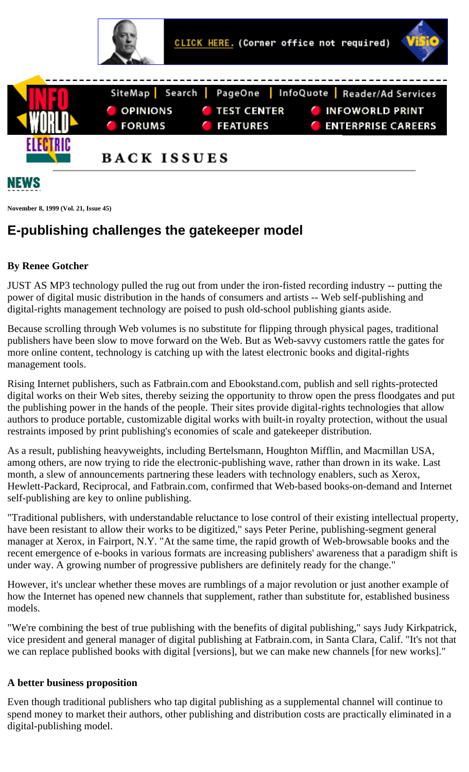

**November 8, 1999 (Vol. 21, Issue 45)**

# **E-publishing challenges the gatekeeper model**

## **By Renee Gotcher**

JUST AS MP3 technology pulled the rug out from under the iron-fisted recording industry -- putting the power of digital music distribution in the hands of consumers and artists -- Web self-publishing and digital-rights management technology are poised to push old-school publishing giants aside.

Because scrolling through Web volumes is no substitute for flipping through physical pages, traditional publishers have been slow to move forward on the Web. But as Web-savvy customers rattle the gates for more online content, technology is catching up with the latest electronic books and digital-rights management tools.

Rising Internet publishers, such as Fatbrain.com and Ebookstand.com, publish and sell rights-protected digital works on their Web sites, thereby seizing the opportunity to throw open the press floodgates and put the publishing power in the hands of the people. Their sites provide digital-rights technologies that allow authors to produce portable, customizable digital works with built-in royalty protection, without the usual restraints imposed by print publishing's economies of scale and gatekeeper distribution.

As a result, publishing heavyweights, including Bertelsmann, Houghton Mifflin, and Macmillan USA, among others, are now trying to ride the electronic-publishing wave, rather than drown in its wake. Last month, a slew of announcements partnering these leaders with technology enablers, such as Xerox, Hewlett-Packard, Reciprocal, and Fatbrain.com, confirmed that Web-based books-on-demand and Internet self-publishing are key to online publishing.

"Traditional publishers, with understandable reluctance to lose control of their existing intellectual property, have been resistant to allow their works to be digitized," says Peter Perine, publishing-segment general manager at Xerox, in Fairport, N.Y. "At the same time, the rapid growth of Web-browsable books and the recent emergence of e-books in various formats are increasing publishers' awareness that a paradigm shift is under way. A growing number of progressive publishers are definitely ready for the change."

However, it's unclear whether these moves are rumblings of a major revolution or just another example of how the Internet has opened new channels that supplement, rather than substitute for, established business models.

"We're combining the best of true publishing with the benefits of digital publishing," says Judy Kirkpatrick, vice president and general manager of digital publishing at Fatbrain.com, in Santa Clara, Calif. "It's not that we can replace published books with digital [versions], but we can make new channels [for new works]."

#### **A better business proposition**

Even though traditional publishers who tap digital publishing as a supplemental channel will continue to spend money to market their authors, other publishing and distribution costs are practically eliminated in a digital-publishing model.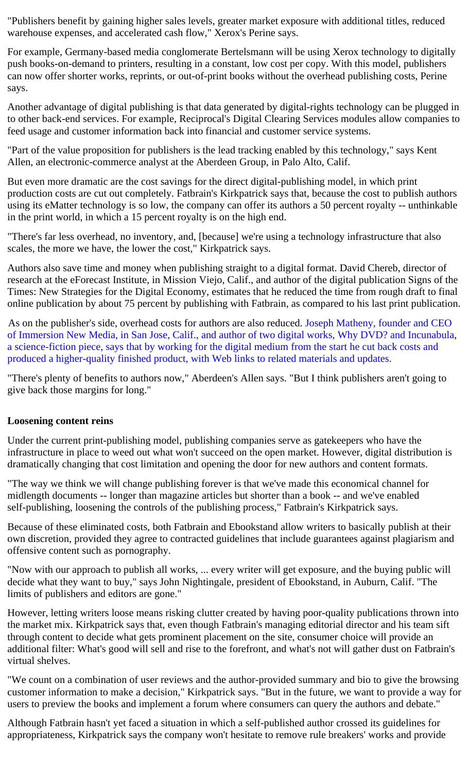"Publishers benefit by gaining higher sales levels, greater market exposure with additional titles, reduced warehouse expenses, and accelerated cash flow," Xerox's Perine says.

For example, Germany-based media conglomerate Bertelsmann will be using Xerox technology to digitally push books-on-demand to printers, resulting in a constant, low cost per copy. With this model, publishers can now offer shorter works, reprints, or out-of-print books without the overhead publishing costs, Perine says.

Another advantage of digital publishing is that data generated by digital-rights technology can be plugged in to other back-end services. For example, Reciprocal's Digital Clearing Services modules allow companies to feed usage and customer information back into financial and customer service systems.

"Part of the value proposition for publishers is the lead tracking enabled by this technology," says Kent Allen, an electronic-commerce analyst at the Aberdeen Group, in Palo Alto, Calif.

But even more dramatic are the cost savings for the direct digital-publishing model, in which print production costs are cut out completely. Fatbrain's Kirkpatrick says that, because the cost to publish authors using its eMatter technology is so low, the company can offer its authors a 50 percent royalty -- unthinkable in the print world, in which a 15 percent royalty is on the high end.

"There's far less overhead, no inventory, and, [because] we're using a technology infrastructure that also scales, the more we have, the lower the cost," Kirkpatrick says.

Authors also save time and money when publishing straight to a digital format. David Chereb, director of research at the eForecast Institute, in Mission Viejo, Calif., and author of the digital publication Signs of the Times: New Strategies for the Digital Economy, estimates that he reduced the time from rough draft to final online publication by about 75 percent by publishing with Fatbrain, as compared to his last print publication.

As on the publisher's side, overhead costs for authors are also reduced. Joseph Matheny, founder and CEO of Immersion New Media, in San Jose, Calif., and author of two digital works, Why DVD? and Incunabula, a science-fiction piece, says that by working for the digital medium from the start he cut back costs and produced a higher-quality finished product, with Web links to related materials and updates.

"There's plenty of benefits to authors now," Aberdeen's Allen says. "But I think publishers aren't going to give back those margins for long."

#### **Loosening content reins**

Under the current print-publishing model, publishing companies serve as gatekeepers who have the infrastructure in place to weed out what won't succeed on the open market. However, digital distribution is dramatically changing that cost limitation and opening the door for new authors and content formats.

"The way we think we will change publishing forever is that we've made this economical channel for midlength documents -- longer than magazine articles but shorter than a book -- and we've enabled self-publishing, loosening the controls of the publishing process," Fatbrain's Kirkpatrick says.

Because of these eliminated costs, both Fatbrain and Ebookstand allow writers to basically publish at their own discretion, provided they agree to contracted guidelines that include guarantees against plagiarism and offensive content such as pornography.

"Now with our approach to publish all works, ... every writer will get exposure, and the buying public will decide what they want to buy," says John Nightingale, president of Ebookstand, in Auburn, Calif. "The limits of publishers and editors are gone."

However, letting writers loose means risking clutter created by having poor-quality publications thrown into the market mix. Kirkpatrick says that, even though Fatbrain's managing editorial director and his team sift through content to decide what gets prominent placement on the site, consumer choice will provide an additional filter: What's good will sell and rise to the forefront, and what's not will gather dust on Fatbrain's virtual shelves.

"We count on a combination of user reviews and the author-provided summary and bio to give the browsing customer information to make a decision," Kirkpatrick says. "But in the future, we want to provide a way for users to preview the books and implement a forum where consumers can query the authors and debate."

Although Fatbrain hasn't yet faced a situation in which a self-published author crossed its guidelines for appropriateness, Kirkpatrick says the company won't hesitate to remove rule breakers' works and provide